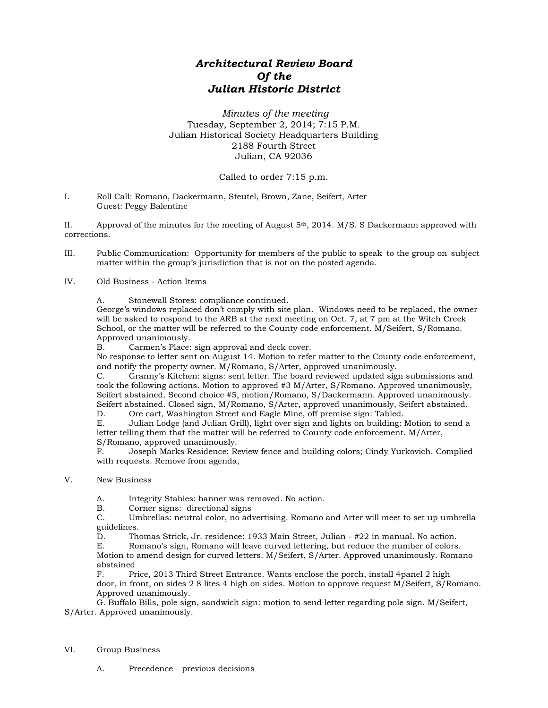## *Architectural Review Board Of the Julian Historic District*

*Minutes of the meeting* Tuesday, September 2, 2014; 7:15 P.M. Julian Historical Society Headquarters Building 2188 Fourth Street Julian, CA 92036

## Called to order 7:15 p.m.

I. Roll Call: Romano, Dackermann, Steutel, Brown, Zane, Seifert, Arter Guest: Peggy Balentine

II. Approval of the minutes for the meeting of August  $5<sup>th</sup>$ , 2014. M/S. S Dackermann approved with corrections.

- III. Public Communication: Opportunity for members of the public to speak to the group on subject matter within the group's jurisdiction that is not on the posted agenda.
- IV. Old Business Action Items
	- A. Stonewall Stores: compliance continued.

George's windows replaced don't comply with site plan. Windows need to be replaced, the owner will be asked to respond to the ARB at the next meeting on Oct. 7, at 7 pm at the Witch Creek School, or the matter will be referred to the County code enforcement. M/Seifert, S/Romano. Approved unanimously.

B. Carmen's Place: sign approval and deck cover.

No response to letter sent on August 14. Motion to refer matter to the County code enforcement, and notify the property owner. M/Romano, S/Arter, approved unanimously.

C. Granny's Kitchen: signs: sent letter. The board reviewed updated sign submissions and took the following actions. Motion to approved #3 M/Arter, S/Romano. Approved unanimously, Seifert abstained. Second choice #5, motion/Romano, S/Dackermann. Approved unanimously. Seifert abstained. Closed sign, M/Romano, S/Arter, approved unanimously, Seifert abstained.

D. Ore cart, Washington Street and Eagle Mine, off premise sign: Tabled.

E. Julian Lodge (and Julian Grill), light over sign and lights on building: Motion to send a letter telling them that the matter will be referred to County code enforcement. M/Arter, S/Romano, approved unanimously.<br>F. Joseph Marks Residence: Re

F. Joseph Marks Residence: Review fence and building colors; Cindy Yurkovich. Complied with requests. Remove from agenda,

V. New Business

A. Integrity Stables: banner was removed. No action.

B. Corner signs: directional signs

C. Umbrellas: neutral color, no advertising. Romano and Arter will meet to set up umbrella guidelines.

D. Thomas Strick, Jr. residence: 1933 Main Street, Julian - #22 in manual. No action.

E. Romano's sign, Romano will leave curved lettering, but reduce the number of colors. Motion to amend design for curved letters. M/Seifert, S/Arter. Approved unanimously. Romano abstained<br>F. Pr

Price, 2013 Third Street Entrance. Wants enclose the porch, install 4panel 2 high door, in front, on sides 2 8 lites 4 high on sides. Motion to approve request M/Seifert, S/Romano. Approved unanimously.

G. Buffalo Bills, pole sign, sandwich sign: motion to send letter regarding pole sign. M/Seifert, S/Arter. Approved unanimously.

- VI. Group Business
	- A. Precedence previous decisions